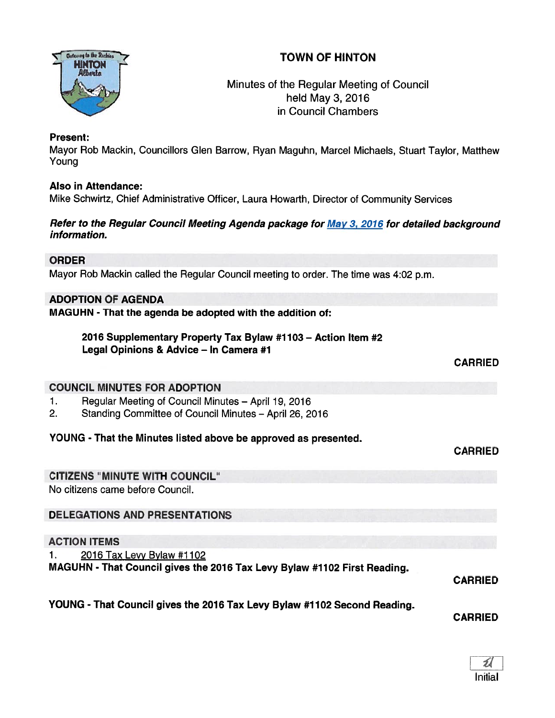

Minutes of the Regular Meeting of Council held May 3, 2016 in Council Chambers

## Present:

Mayor Rob Mackin, Councillors Glen Barrow, Ryan Maguhn, Marcel Michaels, Stuart Taylor, Matthew Young

## Also in Attendance:

Mike Schwirtz, Chief Administrative Officer, Laura Howarth, Director of Community Services

### Refer to the Regular Council Meeting Agenda package for May 3, 2016 for detailed background information.

## ORDER

Mayor Rob Mackin called the Regular Council meeting to order. The time was 4:02 p.m.

## ADOPTION OF AGENDA

MAGUHN - That the agenda be adopted with the addition of:

2016 Supplementary Properly Tax Bylaw #1103 — Action Item #2 Legal Opinions & Advice — In Camera #1

CARRIED

CARRIED

## COUNCIL MINUTES FOR ADOPTION

- 1. Regular Meeting of Council Minutes April 19, 2016
- 2. Standing Committee of Council Minutes April 26, 2016

## YOUNG - That the Minutes listed above be approved as presented.

## CITIZENS "MINUTE WITH COUNCIL"

No citizens came before Council.

## DELEGATIONS AND PRESENTATIONS

#### ACTION ITEMS

1. 2016 Tax Levy Bylaw #1102

MAGUHN - That Council gives the 2016 Tax Levy Bylaw #1102 First Reading.

CARRIED

# YOUNG - That Council <sup>g</sup>ives the <sup>2076</sup> Tax Levy Bylaw #1102 Second Reading.

CARRIED

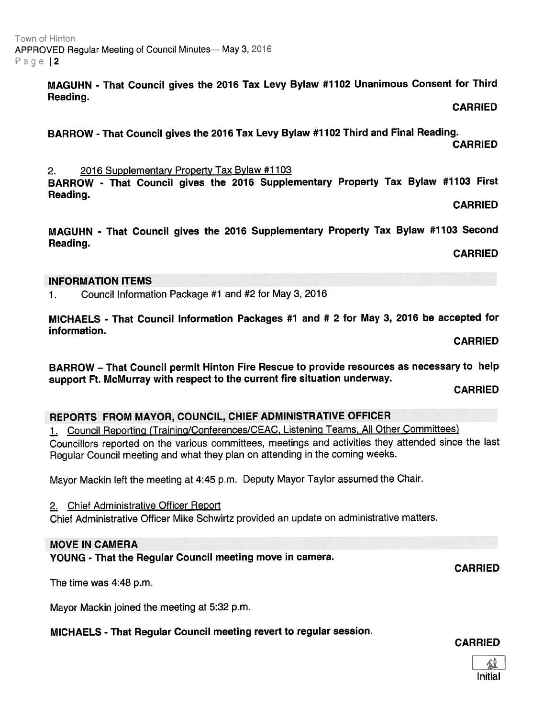Initial

CARRIED

BARROW - That Council <sup>g</sup>ives the <sup>2016</sup> Supplementary Property Tax Bylaw #1103 First

MAGUHN - That Council <sup>g</sup>ives the <sup>2016</sup> Supplementary Property Tax Bylaw #1103 Second Reading.

CARRIED

## INFORMATION ITEMS

Reading.

1. Council Information Package #1 and #2 for May 3, 2016

2. <sup>2016</sup> Supplementary Property Tax Bylaw #1103

MICHAELS - That Council Information Packages #1 and # <sup>2</sup> for May 3, <sup>2016</sup> be accepted for information.

CARRIED

BARROW — That Council permit Hinton Fire Rescue to provide resources as necessary to help suppor<sup>t</sup> Ft. McMurray with respec<sup>t</sup> to the current fire situation underway.

CARRIED

#### REPORTS FROM MAYOR, COUNCIL, CHIEF ADMINISTRATIVE OFFICER

1. Council Reporting (Training/Conterences/CEAC, Listening Teams, All Other Committees) Councillors reported on the various committees, meetings and activities they attended since the last Regular Council meeting and what they <sup>p</sup>lan on attending in the coming weeks.

Mayor Mackin left the meeting at 4:45 p.m. Deputy Mayor Taylor assumed the Chair.

2. Chief Administrative Officer Report

Chief Administrative Officer Mike Schwirtz provided an update on administrative matters.

#### MOVE IN CAMERA

YOUNG - That the Regular Council meeting move in camera.

The time was 4:48 p.m.

Mayor Mackin joined the meeting at 5:32 p.m.

MICHAELS - That Regular Council meeting revert to regular session.

#### Town ot Hinton APPROVED Regular Meeting of Council Minutes— May 3, 2016 Page | 2

MAGUHN - That Council <sup>g</sup>ives the <sup>2016</sup> Tax Levy Bylaw #1102 Unanimous Consent for Third Reading.

BARROW - That Council <sup>g</sup>ives the <sup>2016</sup> Tax Levy Bylaw #1102 Third and Final Reading.

CARRIED

CARRIED

CARRIED

CARRIED